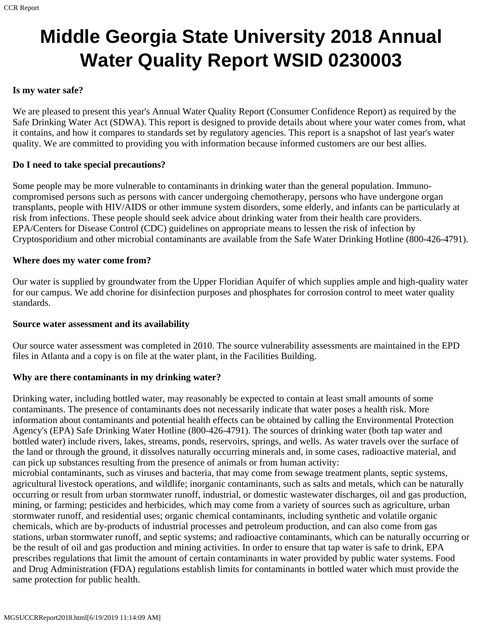# **Middle Georgia State University 2018 Annual Water Quality Report WSID 0230003**

#### **Is my water safe?**

We are pleased to present this year's Annual Water Quality Report (Consumer Confidence Report) as required by the Safe Drinking Water Act (SDWA). This report is designed to provide details about where your water comes from, what it contains, and how it compares to standards set by regulatory agencies. This report is a snapshot of last year's water quality. We are committed to providing you with information because informed customers are our best allies.

#### **Do I need to take special precautions?**

Some people may be more vulnerable to contaminants in drinking water than the general population. Immunocompromised persons such as persons with cancer undergoing chemotherapy, persons who have undergone organ transplants, people with HIV/AIDS or other immune system disorders, some elderly, and infants can be particularly at risk from infections. These people should seek advice about drinking water from their health care providers. EPA/Centers for Disease Control (CDC) guidelines on appropriate means to lessen the risk of infection by Cryptosporidium and other microbial contaminants are available from the Safe Water Drinking Hotline (800-426-4791).

#### **Where does my water come from?**

Our water is supplied by groundwater from the Upper Floridian Aquifer of which supplies ample and high-quality water for our campus. We add chorine for disinfection purposes and phosphates for corrosion control to meet water quality standards.

#### **Source water assessment and its availability**

Our source water assessment was completed in 2010. The source vulnerability assessments are maintained in the EPD files in Atlanta and a copy is on file at the water plant, in the Facilities Building.

## **Why are there contaminants in my drinking water?**

Drinking water, including bottled water, may reasonably be expected to contain at least small amounts of some contaminants. The presence of contaminants does not necessarily indicate that water poses a health risk. More information about contaminants and potential health effects can be obtained by calling the Environmental Protection Agency's (EPA) Safe Drinking Water Hotline (800-426-4791). The sources of drinking water (both tap water and bottled water) include rivers, lakes, streams, ponds, reservoirs, springs, and wells. As water travels over the surface of the land or through the ground, it dissolves naturally occurring minerals and, in some cases, radioactive material, and can pick up substances resulting from the presence of animals or from human activity:

microbial contaminants, such as viruses and bacteria, that may come from sewage treatment plants, septic systems, agricultural livestock operations, and wildlife; inorganic contaminants, such as salts and metals, which can be naturally occurring or result from urban stormwater runoff, industrial, or domestic wastewater discharges, oil and gas production, mining, or farming; pesticides and herbicides, which may come from a variety of sources such as agriculture, urban stormwater runoff, and residential uses; organic chemical contaminants, including synthetic and volatile organic chemicals, which are by-products of industrial processes and petroleum production, and can also come from gas stations, urban stormwater runoff, and septic systems; and radioactive contaminants, which can be naturally occurring or be the result of oil and gas production and mining activities. In order to ensure that tap water is safe to drink, EPA prescribes regulations that limit the amount of certain contaminants in water provided by public water systems. Food and Drug Administration (FDA) regulations establish limits for contaminants in bottled water which must provide the same protection for public health.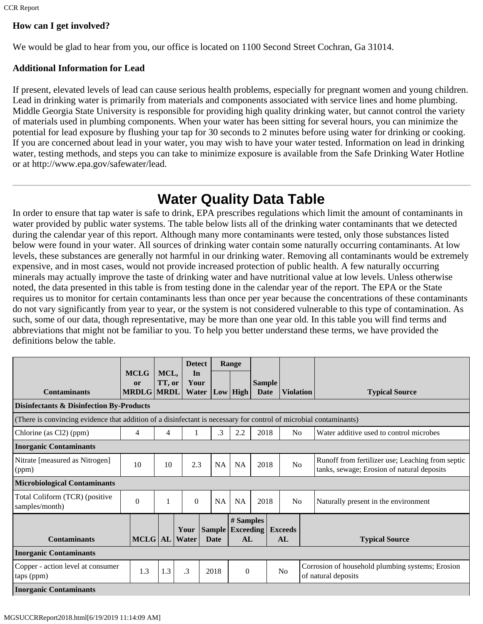# **How can I get involved?**

We would be glad to hear from you, our office is located on 1100 Second Street Cochran, Ga 31014.

## **Additional Information for Lead**

If present, elevated levels of lead can cause serious health problems, especially for pregnant women and young children. Lead in drinking water is primarily from materials and components associated with service lines and home plumbing. Middle Georgia State University is responsible for providing high quality drinking water, but cannot control the variety of materials used in plumbing components. When your water has been sitting for several hours, you can minimize the potential for lead exposure by flushing your tap for 30 seconds to 2 minutes before using water for drinking or cooking. If you are concerned about lead in your water, you may wish to have your water tested. Information on lead in drinking water, testing methods, and steps you can take to minimize exposure is available from the Safe Drinking Water Hotline or at http://www.epa.gov/safewater/lead.

# **Water Quality Data Table**

In order to ensure that tap water is safe to drink, EPA prescribes regulations which limit the amount of contaminants in water provided by public water systems. The table below lists all of the drinking water contaminants that we detected during the calendar year of this report. Although many more contaminants were tested, only those substances listed below were found in your water. All sources of drinking water contain some naturally occurring contaminants. At low levels, these substances are generally not harmful in our drinking water. Removing all contaminants would be extremely expensive, and in most cases, would not provide increased protection of public health. A few naturally occurring minerals may actually improve the taste of drinking water and have nutritional value at low levels. Unless otherwise noted, the data presented in this table is from testing done in the calendar year of the report. The EPA or the State requires us to monitor for certain contaminants less than once per year because the concentrations of these contaminants do not vary significantly from year to year, or the system is not considered vulnerable to this type of contamination. As such, some of our data, though representative, may be more than one year old. In this table you will find terms and abbreviations that might not be familiar to you. To help you better understand these terms, we have provided the definitions below the table.

|                                                                                                                   | <b>MCLG</b>                    | MCL,   | <b>Detect</b><br>In |                              | Range                               |                       |  |                      |                                                                                                |
|-------------------------------------------------------------------------------------------------------------------|--------------------------------|--------|---------------------|------------------------------|-------------------------------------|-----------------------|--|----------------------|------------------------------------------------------------------------------------------------|
| <b>Contaminants</b>                                                                                               | <b>or</b><br><b>MRDLG MRDL</b> | TT, or | Your<br>Water       |                              | Low High                            | <b>Sample</b><br>Date |  | <b>Violation</b>     | <b>Typical Source</b>                                                                          |
| <b>Disinfectants &amp; Disinfection By-Products</b>                                                               |                                |        |                     |                              |                                     |                       |  |                      |                                                                                                |
| (There is convincing evidence that addition of a disinfectant is necessary for control of microbial contaminants) |                                |        |                     |                              |                                     |                       |  |                      |                                                                                                |
| Chlorine (as Cl2) (ppm)                                                                                           | 4                              | 4      |                     | .3                           | 2.2                                 | 2018                  |  | N <sub>0</sub>       | Water additive used to control microbes                                                        |
| <b>Inorganic Contaminants</b>                                                                                     |                                |        |                     |                              |                                     |                       |  |                      |                                                                                                |
| Nitrate [measured as Nitrogen]<br>(ppm)                                                                           | 10                             | 10     | 2.3                 | <b>NA</b>                    | <b>NA</b>                           | 2018                  |  | No                   | Runoff from fertilizer use; Leaching from septic<br>tanks, sewage; Erosion of natural deposits |
| <b>Microbiological Contaminants</b>                                                                               |                                |        |                     |                              |                                     |                       |  |                      |                                                                                                |
| Total Coliform (TCR) (positive<br>samples/month)                                                                  | $\theta$                       |        | $\mathbf{0}$        | NA                           | <b>NA</b>                           | 2018                  |  | No                   | Naturally present in the environment                                                           |
| <b>Contaminants</b>                                                                                               | MCLG  AL                       |        | Your<br>Water       | <b>Sample</b><br><b>Date</b> | # Samples<br><b>Exceeding</b><br>AL |                       |  | <b>Exceeds</b><br>AL | <b>Typical Source</b>                                                                          |
| <b>Inorganic Contaminants</b>                                                                                     |                                |        |                     |                              |                                     |                       |  |                      |                                                                                                |
| Copper - action level at consumer<br>taps (ppm)                                                                   | 1.3                            | 1.3    | .3                  | 2018                         | $\boldsymbol{0}$                    |                       |  | No                   | Corrosion of household plumbing systems; Erosion<br>of natural deposits                        |
| <b>Inorganic Contaminants</b>                                                                                     |                                |        |                     |                              |                                     |                       |  |                      |                                                                                                |